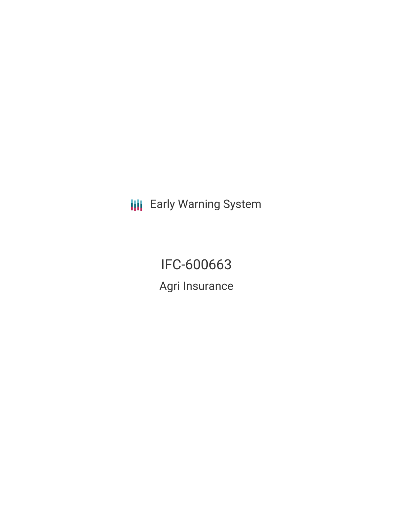**III** Early Warning System

IFC-600663 Agri Insurance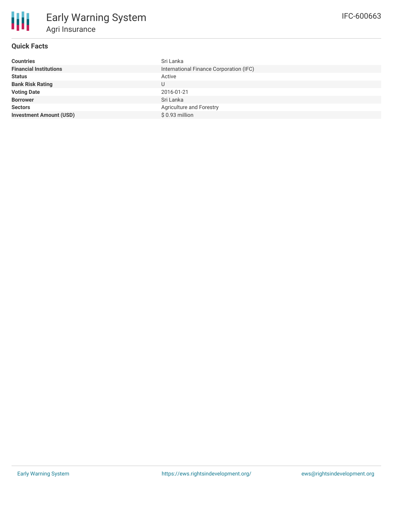## **Quick Facts**

| <b>Countries</b>               | Sri Lanka                               |
|--------------------------------|-----------------------------------------|
| <b>Financial Institutions</b>  | International Finance Corporation (IFC) |
| <b>Status</b>                  | Active                                  |
| <b>Bank Risk Rating</b>        | U                                       |
| <b>Voting Date</b>             | 2016-01-21                              |
| <b>Borrower</b>                | Sri Lanka                               |
| <b>Sectors</b>                 | Agriculture and Forestry                |
| <b>Investment Amount (USD)</b> | \$0.93 million                          |
|                                |                                         |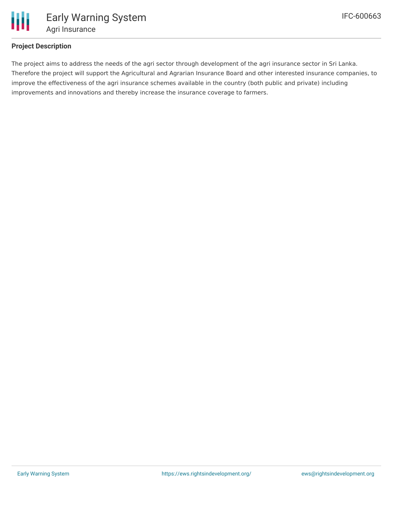

## **Project Description**

The project aims to address the needs of the agri sector through development of the agri insurance sector in Sri Lanka. Therefore the project will support the Agricultural and Agrarian Insurance Board and other interested insurance companies, to improve the effectiveness of the agri insurance schemes available in the country (both public and private) including improvements and innovations and thereby increase the insurance coverage to farmers.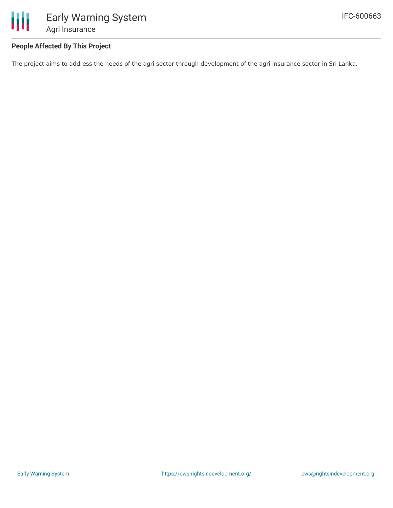

## **People Affected By This Project**

The project aims to address the needs of the agri sector through development of the agri insurance sector in Sri Lanka.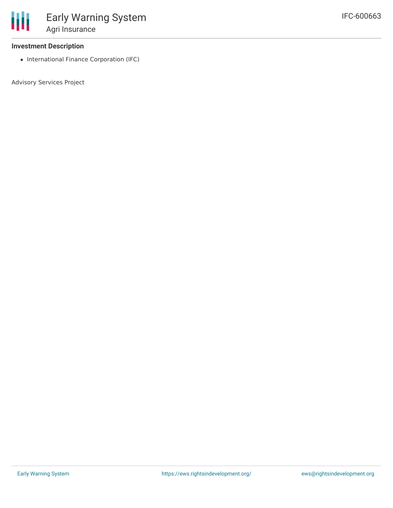

### **Investment Description**

• International Finance Corporation (IFC)

Advisory Services Project